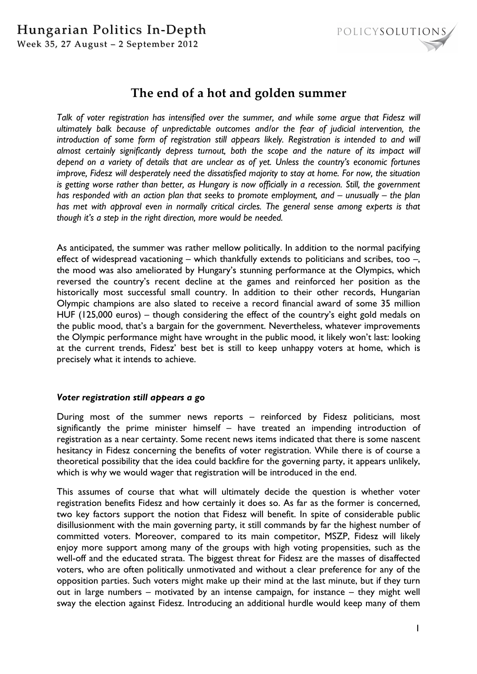# Hungarian Politics In-Depth





# **The end of a hot and golden summer**

Talk of voter registration has intensified over the summer, and while some argue that Fidesz will *ultimately balk because of unpredictable outcomes and/or the fear of judicial intervention, the introduction of some form of registration still appears likely. Registration is intended to and will*  almost certainly significantly depress turnout, both the scope and the nature of its impact will *depend on a variety of details that are unclear as of yet. Unless the country's economic fortunes improve, Fidesz will desperately need the dissatisfied majority to stay at home. For now, the situation is getting worse rather than better, as Hungary is now officially in a recession. Still, the government has responded with an action plan that seeks to promote employment, and – unusually – the plan has met with approval even in normally critical circles. The general sense among experts is that though it's a step in the right direction, more would be needed.* 

As anticipated, the summer was rather mellow politically. In addition to the normal pacifying effect of widespread vacationing – which thankfully extends to politicians and scribes, too –, the mood was also ameliorated by Hungary's stunning performance at the Olympics, which reversed the country's recent decline at the games and reinforced her position as the historically most successful small country. In addition to their other records, Hungarian Olympic champions are also slated to receive a record financial award of some 35 million HUF (125,000 euros) – though considering the effect of the country's eight gold medals on the public mood, that's a bargain for the government. Nevertheless, whatever improvements the Olympic performance might have wrought in the public mood, it likely won't last: looking at the current trends, Fidesz' best bet is still to keep unhappy voters at home, which is precisely what it intends to achieve.

# *Voter registration still appears a go*

During most of the summer news reports – reinforced by Fidesz politicians, most significantly the prime minister himself – have treated an impending introduction of registration as a near certainty. Some recent news items indicated that there is some nascent hesitancy in Fidesz concerning the benefits of voter registration. While there is of course a theoretical possibility that the idea could backfire for the governing party, it appears unlikely, which is why we would wager that registration will be introduced in the end.

This assumes of course that what will ultimately decide the question is whether voter registration benefits Fidesz and how certainly it does so. As far as the former is concerned, two key factors support the notion that Fidesz will benefit. In spite of considerable public disillusionment with the main governing party, it still commands by far the highest number of committed voters. Moreover, compared to its main competitor, MSZP, Fidesz will likely enjoy more support among many of the groups with high voting propensities, such as the well-off and the educated strata. The biggest threat for Fidesz are the masses of disaffected voters, who are often politically unmotivated and without a clear preference for any of the opposition parties. Such voters might make up their mind at the last minute, but if they turn out in large numbers – motivated by an intense campaign, for instance – they might well sway the election against Fidesz. Introducing an additional hurdle would keep many of them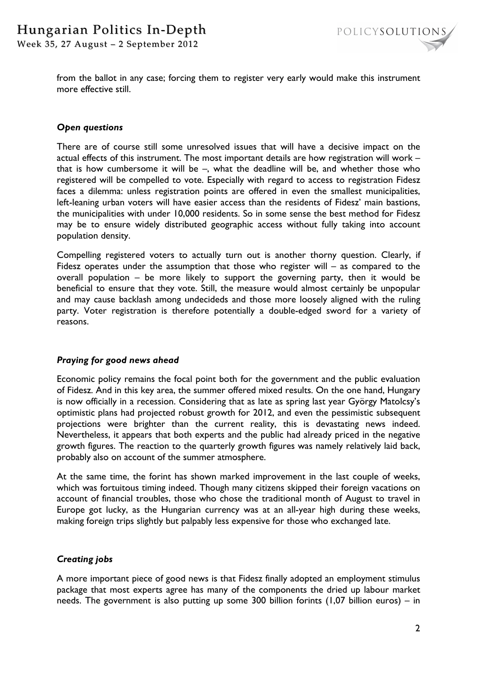

from the ballot in any case; forcing them to register very early would make this instrument more effective still.

#### *Open questions*

There are of course still some unresolved issues that will have a decisive impact on the actual effects of this instrument. The most important details are how registration will work – that is how cumbersome it will be  $-$ , what the deadline will be, and whether those who registered will be compelled to vote. Especially with regard to access to registration Fidesz faces a dilemma: unless registration points are offered in even the smallest municipalities, left-leaning urban voters will have easier access than the residents of Fidesz' main bastions, the municipalities with under 10,000 residents. So in some sense the best method for Fidesz may be to ensure widely distributed geographic access without fully taking into account population density.

Compelling registered voters to actually turn out is another thorny question. Clearly, if Fidesz operates under the assumption that those who register will – as compared to the overall population – be more likely to support the governing party, then it would be beneficial to ensure that they vote. Still, the measure would almost certainly be unpopular and may cause backlash among undecideds and those more loosely aligned with the ruling party. Voter registration is therefore potentially a double-edged sword for a variety of reasons.

# *Praying for good news ahead*

Economic policy remains the focal point both for the government and the public evaluation of Fidesz. And in this key area, the summer offered mixed results. On the one hand, Hungary is now officially in a recession. Considering that as late as spring last year György Matolcsy's optimistic plans had projected robust growth for 2012, and even the pessimistic subsequent projections were brighter than the current reality, this is devastating news indeed. Nevertheless, it appears that both experts and the public had already priced in the negative growth figures. The reaction to the quarterly growth figures was namely relatively laid back, probably also on account of the summer atmosphere.

At the same time, the forint has shown marked improvement in the last couple of weeks, which was fortuitous timing indeed. Though many citizens skipped their foreign vacations on account of financial troubles, those who chose the traditional month of August to travel in Europe got lucky, as the Hungarian currency was at an all-year high during these weeks, making foreign trips slightly but palpably less expensive for those who exchanged late.

# *Creating jobs*

A more important piece of good news is that Fidesz finally adopted an employment stimulus package that most experts agree has many of the components the dried up labour market needs. The government is also putting up some 300 billion forints (1,07 billion euros) – in